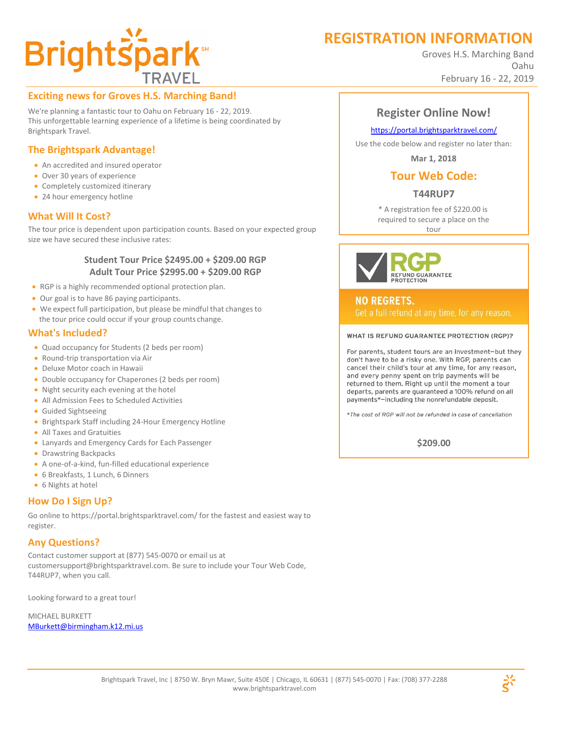# **REGISTRATION INFORMATION**

Groves H.S. Marching Band Oahu February 16 - 22, 2019

# **Brightspark**

# **Exciting news for Groves H.S. Marching Band!**

We're planning a fantastic tour to Oahu on February 16 - 22, 2019. This unforgettable learning experience of a lifetime is being coordinated by Brightspark Travel.

# **The Brightspark Advantage!**

- An accredited and insured operator
- Over 30 years of experience
- Completely customized itinerary
- 24 hour emergency hotline

# **What Will It Cost?**

The tour price is dependent upon participation counts. Based on your expected group size we have secured these inclusive rates:

## **Student Tour Price \$2495.00 + \$209.00 RGP Adult Tour Price \$2995.00 + \$209.00 RGP**

- RGP is a highly recommended optional protection plan.
- Our goal is to have 86 paying participants.
- We expect full participation, but please be mindful that changes to the tour price could occur if your group counts change.

# **What's Included?**

- Quad occupancy for Students (2 beds per room)
- Round-trip transportation via Air
- Deluxe Motor coach in Hawaii
- Double occupancy for Chaperones (2 beds per room)
- Night security each evening at the hotel
- All Admission Fees to Scheduled Activities
- Guided Sightseeing
- Brightspark Staff including 24-Hour Emergency Hotline
- All Taxes and Gratuities
- Lanyards and Emergency Cards for Each Passenger
- Drawstring Backpacks
- A one-of-a-kind, fun-filled educational experience
- 6 Breakfasts, 1 Lunch, 6 Dinners
- 6 Nights at hotel

# **How Do I Sign Up?**

Go online to https://portal.brightsparktravel.com/ for the fastest and easiest way to register.

# **Any Questions?**

Contact customer support at (877) 545-0070 or email us at [customersupport@brightsparktravel.com. B](mailto:customersupport@brightsparktravel.com)e sure to include your Tour Web Code, T44RUP7, when you call.

Looking forward to a great tour!

MICHAEL BURKETT [MBurkett@birmingham.k12.mi.us](mailto:MBurkett@birmingham.k12.mi.us)

# **Register Online Now!**

### https://portal.brightsparktravel.com/

Use the code below and register no later than:

**Mar 1, 2018**

# **Tour Web Code:**

# **T44RUP7**

\* A registration fee of \$220.00 is required to secure a place on the

tour



**NO REGRETS.** 

#### WHAT IS REFUND GUARANTEE PROTECTION (RGP)?

For parents, student tours are an investment-but they don't have to be a risky one. With RGP, parents can cancel their child's tour at any time, for any reason, and every penny spent on trip payments will be returned to them. Right up until the moment a tour departs, parents are guaranteed a 100% refund on all payments\*-including the nonrefundable deposit.

\*The cost of RGP will not be refunded in case of cancellation

**\$209.00**

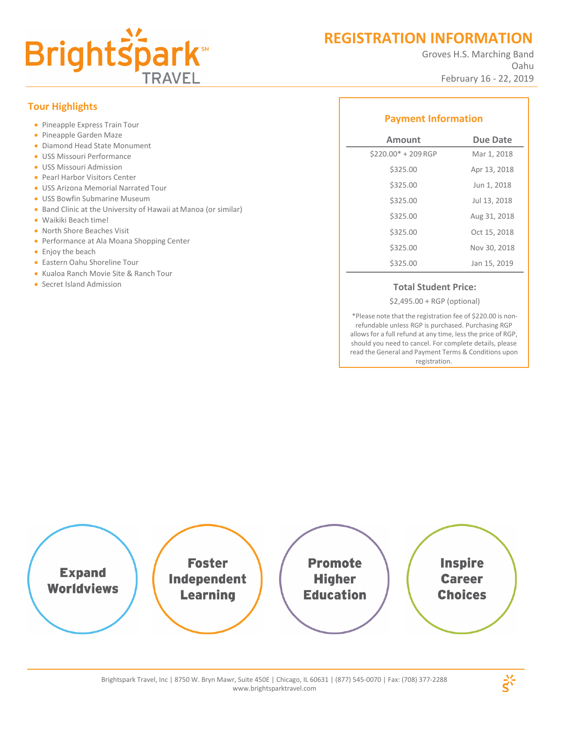

# **REGISTRATION INFORMATION**

Groves H.S. Marching Band Oahu February 16 - 22, 2019

# **Tour Highlights**

- Pineapple Express Train Tour
- Pineapple Garden Maze
- Diamond Head State Monument
- USS Missouri Performance
- USS Missouri Admission
- Pearl Harbor Visitors Center
- USS Arizona Memorial Narrated Tour
- USS Bowfin Submarine Museum
- Band Clinic at the University of Hawaii at Manoa (or similar)
- Waikiki Beach time!
- North Shore Beaches Visit
- **Performance at Ala Moana Shopping Center**
- **•** Enjoy the beach
- Eastern Oahu Shoreline Tour
- Kualoa Ranch Movie Site & Ranch Tour
- **Secret Island Admission Total Student Price: Total Student Price:**

# **Payment Information**

| Amount               | <b>Due Date</b> |
|----------------------|-----------------|
| $$220.00* + 209$ RGP | Mar 1, 2018     |
| \$325.00             | Apr 13, 2018    |
| \$325.00             | Jun 1, 2018     |
| \$325.00             | Jul 13, 2018    |
| \$325.00             | Aug 31, 2018    |
| \$325.00             | Oct 15, 2018    |
| \$325.00             | Nov 30, 2018    |
| \$325.00             | Jan 15, 2019    |

\$2,495.00 + RGP (optional)

\*Please note that the registration fee of \$220.00 is nonrefundable unless RGP is purchased. Purchasing RGP allows for a full refund at any time, less the price of RGP, should you need to cancel. For complete details, please read the General and Payment Terms & Conditions upon registration.



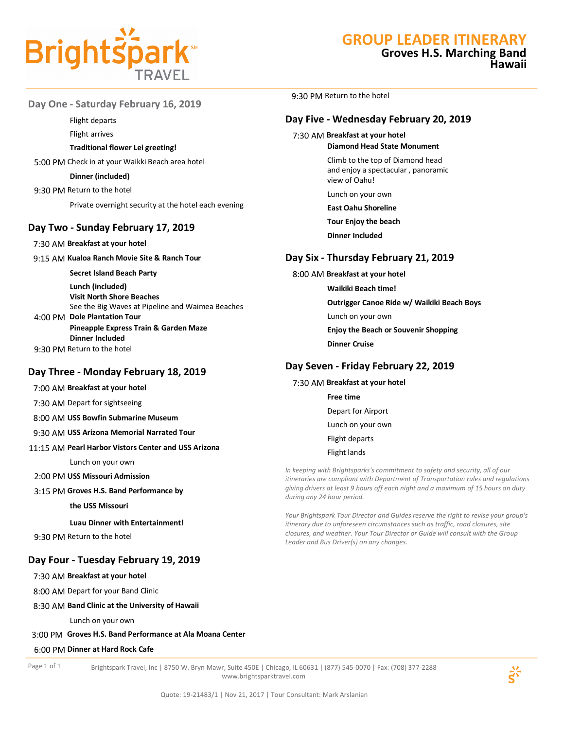

# **GROUP LEADER ITINERARY**

9:30 PM Return to the hotel

7:30 AM **Breakfast at your hotel**

view of Oahu! Lunch on your own **East Oahu Shoreline Tour Enjoy the beach Dinner Included**

8:00 AM **Breakfast at your hotel**

**Day Six - Thursday February 21, 2019**

**Outrigger Canoe Ride w/ Waikiki Beach Boys**

**Enjoy the Beach or Souvenir Shopping**

*In keeping with Brightsparks's commitment to safety and security, all of our itineraries are compliant with Department of Transportation rules and regulations giving drivers at least 9 hours off each night and a maximum of 15 hours on duty* 

*Your Brightspark Tour Director and Guides reserve the right to revise your group's itinerary due to unforeseen circumstances such as traffic, road closures, site closures, and weather. Your Tour Director or Guide will consult with the Group* 

**Waikiki Beach time!**

Lunch on your own

**Day Seven - Friday February 22, 2019**

**Dinner Cruise**

7:30 AM **Breakfast at your hotel Free time**

*during any 24 hour period.*

*Leader and Bus Driver(s) on any changes.*

Depart for Airport Lunch on your own Flight departs Flight lands

**Day Five - Wednesday February 20, 2019**

**Diamond Head State Monument** Climb to the top of Diamond head and enjoy a spectacular , panoramic

# **Groves H.S. Marching Band Hawaii**

**Day One - Saturday February 16, 2019**

Flight departs

Flight arrives

#### **Traditional flower Lei greeting!**

5:00 PM Check in at your Waikki Beach area hotel

#### **Dinner (included)**

9:30 PM Return to the hotel

Private overnight security at the hotel each evening

## **Day Two - Sunday February 17, 2019**

7:30 AM **Breakfast at your hotel**

9:15 AM **Kualoa Ranch Movie Site & Ranch Tour** 

**Secret Island Beach Party**

**Lunch (included) Visit North Shore Beaches**  See the Big Waves at Pipeline and Waimea Beaches 4:00 PM **Dole Plantation Tour**

**Pineapple Express Train & Garden Maze Dinner Included**

9:30 PM Return to the hotel

## **Day Three - Monday February 18, 2019**

7:00 AM **Breakfast at your hotel**

7:30 AM Depart for sightseeing

8:00 AM **USS Bowfin Submarine Museum**

9:30 AM **USS Arizona Memorial Narrated Tour**

#### 11:15 AM **Pearl Harbor Vistors Center and USS Arizona**

Lunch on your own

- 2:00 PM **USS Missouri Admission**
- 3:15 PM **Groves H.S. Band Performance by**

**the USS Missouri** 

**Luau Dinner with Entertainment!**

9:30 PM Return to the hotel

## **Day Four - Tuesday February 19, 2019**

7:30 AM **Breakfast at your hotel**

8:00 AM Depart for your Band Clinic

#### 8:30 AM **Band Clinic at the University of Hawaii**

Lunch on your own

#### 3:00 PM **Groves H.S. Band Performance at Ala Moana Center**

#### 6:00 PM **Dinner at Hard Rock Cafe**

Page 1 of 1 Brightspark Travel, Inc | 8750 W. Bryn Mawr, Suite 450E | Chicago, IL 60631 | (877) 545-0070 | Fax: (708) 377-2288 www.brightsparktravel.com